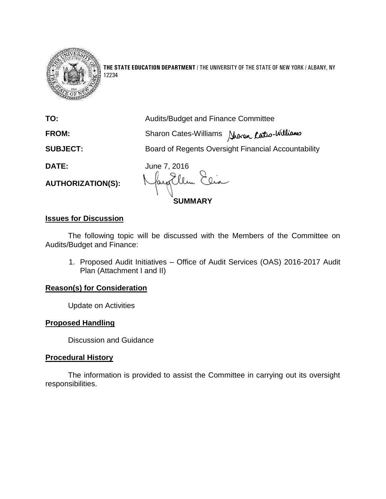

**THE STATE EDUCATION DEPARTMENT** / THE UNIVERSITY OF THE STATE OF NEW YORK / ALBANY, NY 12234

**TO:** Audits/Budget and Finance Committee **FROM:** Sharon Cates-Williams **SUBJECT:** Board of Regents Oversight Financial Accountability **DATE:** June 7, 2016

**AUTHORIZATION(S):**

Elem ( **SUMMARY**

### **Issues for Discussion**

The following topic will be discussed with the Members of the Committee on Audits/Budget and Finance:

1. Proposed Audit Initiatives – Office of Audit Services (OAS) 2016-2017 Audit Plan (Attachment I and II)

### **Reason(s) for Consideration**

Update on Activities

### **Proposed Handling**

Discussion and Guidance

### **Procedural History**

The information is provided to assist the Committee in carrying out its oversight responsibilities.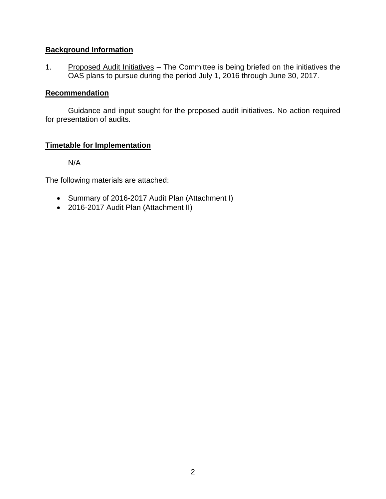### **Background Information**

1. Proposed Audit Initiatives - The Committee is being briefed on the initiatives the OAS plans to pursue during the period July 1, 2016 through June 30, 2017.

### **Recommendation**

Guidance and input sought for the proposed audit initiatives. No action required for presentation of audits.

### **Timetable for Implementation**

N/A

The following materials are attached:

- Summary of 2016-2017 Audit Plan (Attachment I)
- 2016-2017 Audit Plan (Attachment II)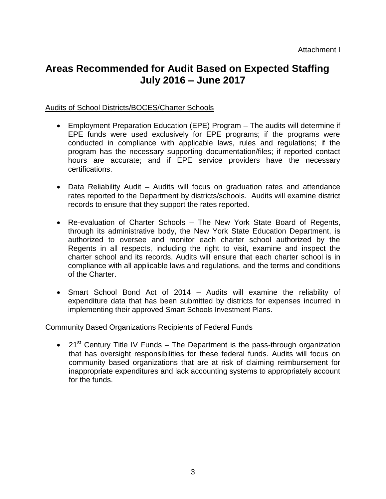## **Areas Recommended for Audit Based on Expected Staffing July 2016 – June 2017**

### Audits of School Districts/BOCES/Charter Schools

- Employment Preparation Education (EPE) Program The audits will determine if EPE funds were used exclusively for EPE programs; if the programs were conducted in compliance with applicable laws, rules and regulations; if the program has the necessary supporting documentation/files; if reported contact hours are accurate; and if EPE service providers have the necessary certifications.
- Data Reliability Audit Audits will focus on graduation rates and attendance rates reported to the Department by districts/schools. Audits will examine district records to ensure that they support the rates reported.
- Re-evaluation of Charter Schools The New York State Board of Regents, through its administrative body, the New York State Education Department, is authorized to oversee and monitor each charter school authorized by the Regents in all respects, including the right to visit, examine and inspect the charter school and its records. Audits will ensure that each charter school is in compliance with all applicable laws and regulations, and the terms and conditions of the Charter.
- Smart School Bond Act of 2014 Audits will examine the reliability of expenditure data that has been submitted by districts for expenses incurred in implementing their approved Smart Schools Investment Plans.

### Community Based Organizations Recipients of Federal Funds

• 21<sup>st</sup> Century Title IV Funds – The Department is the pass-through organization that has oversight responsibilities for these federal funds. Audits will focus on community based organizations that are at risk of claiming reimbursement for inappropriate expenditures and lack accounting systems to appropriately account for the funds.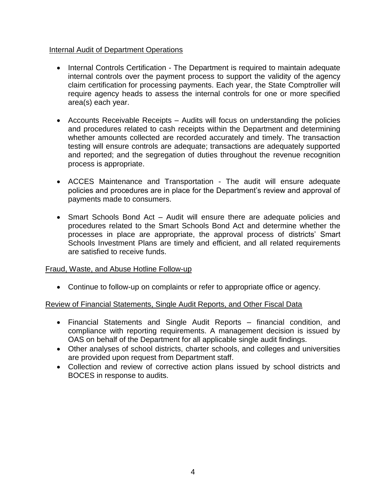### Internal Audit of Department Operations

- Internal Controls Certification The Department is required to maintain adequate internal controls over the payment process to support the validity of the agency claim certification for processing payments. Each year, the State Comptroller will require agency heads to assess the internal controls for one or more specified area(s) each year.
- Accounts Receivable Receipts Audits will focus on understanding the policies and procedures related to cash receipts within the Department and determining whether amounts collected are recorded accurately and timely. The transaction testing will ensure controls are adequate; transactions are adequately supported and reported; and the segregation of duties throughout the revenue recognition process is appropriate.
- ACCES Maintenance and Transportation The audit will ensure adequate policies and procedures are in place for the Department's review and approval of payments made to consumers.
- Smart Schools Bond Act Audit will ensure there are adequate policies and procedures related to the Smart Schools Bond Act and determine whether the processes in place are appropriate, the approval process of districts' Smart Schools Investment Plans are timely and efficient, and all related requirements are satisfied to receive funds.

### Fraud, Waste, and Abuse Hotline Follow-up

Continue to follow-up on complaints or refer to appropriate office or agency.

### Review of Financial Statements, Single Audit Reports, and Other Fiscal Data

- Financial Statements and Single Audit Reports financial condition, and compliance with reporting requirements. A management decision is issued by OAS on behalf of the Department for all applicable single audit findings.
- Other analyses of school districts, charter schools, and colleges and universities are provided upon request from Department staff.
- Collection and review of corrective action plans issued by school districts and BOCES in response to audits.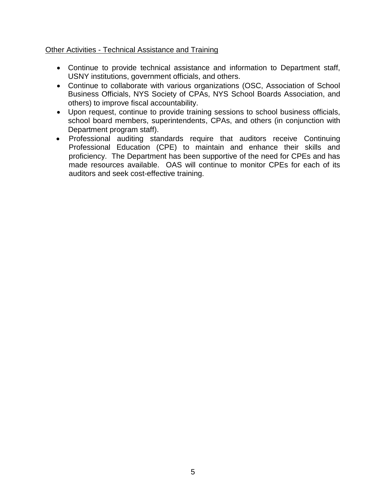### Other Activities - Technical Assistance and Training

- Continue to provide technical assistance and information to Department staff, USNY institutions, government officials, and others.
- Continue to collaborate with various organizations (OSC, Association of School Business Officials, NYS Society of CPAs, NYS School Boards Association, and others) to improve fiscal accountability.
- Upon request, continue to provide training sessions to school business officials, school board members, superintendents, CPAs, and others (in conjunction with Department program staff).
- Professional auditing standards require that auditors receive Continuing Professional Education (CPE) to maintain and enhance their skills and proficiency. The Department has been supportive of the need for CPEs and has made resources available. OAS will continue to monitor CPEs for each of its auditors and seek cost-effective training.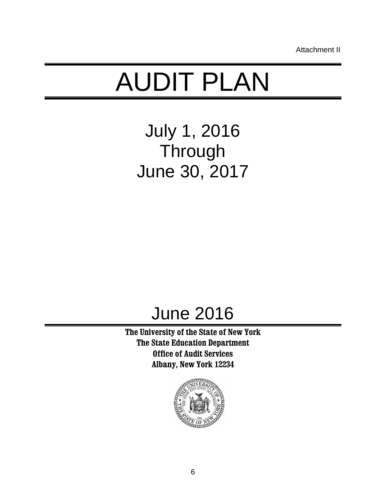Attachment II

# AUDIT PLAN

July 1, 2016 Through June 30, 2017

# June 2016

**The University of the State of New York The State Education Department Office of Audit Services Albany, New York 12234**

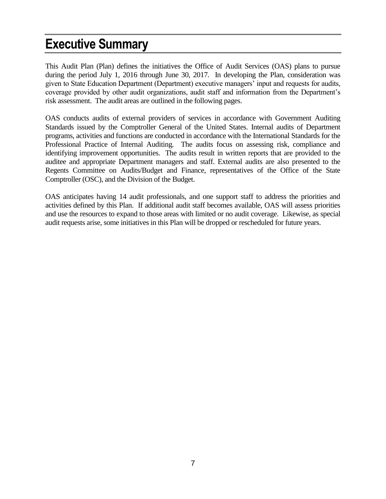# **Executive Summary**

This Audit Plan (Plan) defines the initiatives the Office of Audit Services (OAS) plans to pursue during the period July 1, 2016 through June 30, 2017. In developing the Plan, consideration was given to State Education Department (Department) executive managers' input and requests for audits, coverage provided by other audit organizations, audit staff and information from the Department's risk assessment. The audit areas are outlined in the following pages.

OAS conducts audits of external providers of services in accordance with Government Auditing Standards issued by the Comptroller General of the United States. Internal audits of Department programs, activities and functions are conducted in accordance with the International Standards for the Professional Practice of Internal Auditing. The audits focus on assessing risk, compliance and identifying improvement opportunities. The audits result in written reports that are provided to the auditee and appropriate Department managers and staff. External audits are also presented to the Regents Committee on Audits/Budget and Finance, representatives of the Office of the State Comptroller (OSC), and the Division of the Budget.

OAS anticipates having 14 audit professionals, and one support staff to address the priorities and activities defined by this Plan. If additional audit staff becomes available, OAS will assess priorities and use the resources to expand to those areas with limited or no audit coverage. Likewise, as special audit requests arise, some initiatives in this Plan will be dropped or rescheduled for future years.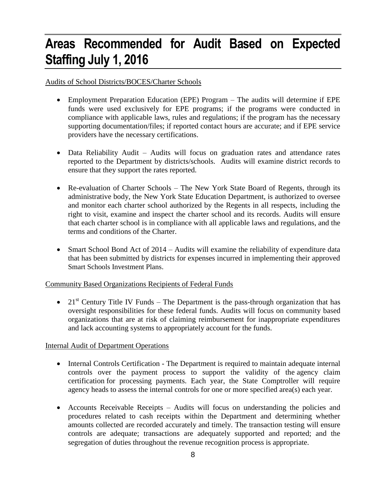# **Areas Recommended for Audit Based on Expected Staffing July 1, 2016**

### Audits of School Districts/BOCES/Charter Schools

- Employment Preparation Education (EPE) Program The audits will determine if EPE funds were used exclusively for EPE programs; if the programs were conducted in compliance with applicable laws, rules and regulations; if the program has the necessary supporting documentation/files; if reported contact hours are accurate; and if EPE service providers have the necessary certifications.
- Data Reliability Audit Audits will focus on graduation rates and attendance rates reported to the Department by districts/schools. Audits will examine district records to ensure that they support the rates reported.
- Re-evaluation of Charter Schools The New York State Board of Regents, through its administrative body, the New York State Education Department, is authorized to oversee and monitor each charter school authorized by the Regents in all respects, including the right to visit, examine and inspect the charter school and its records. Audits will ensure that each charter school is in compliance with all applicable laws and regulations, and the terms and conditions of the Charter.
- Smart School Bond Act of 2014 Audits will examine the reliability of expenditure data that has been submitted by districts for expenses incurred in implementing their approved Smart Schools Investment Plans.

### Community Based Organizations Recipients of Federal Funds

• 21<sup>st</sup> Century Title IV Funds – The Department is the pass-through organization that has oversight responsibilities for these federal funds. Audits will focus on community based organizations that are at risk of claiming reimbursement for inappropriate expenditures and lack accounting systems to appropriately account for the funds.

### Internal Audit of Department Operations

- Internal Controls Certification The Department is required to maintain adequate internal controls over the payment process to support the validity of the agency claim certification for processing payments. Each year, the State Comptroller will require agency heads to assess the internal controls for one or more specified area(s) each year.
- Accounts Receivable Receipts Audits will focus on understanding the policies and procedures related to cash receipts within the Department and determining whether amounts collected are recorded accurately and timely. The transaction testing will ensure controls are adequate; transactions are adequately supported and reported; and the segregation of duties throughout the revenue recognition process is appropriate.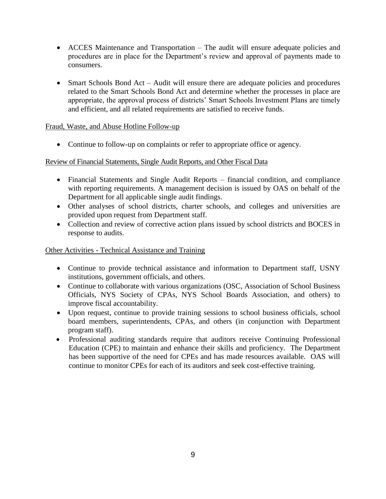- ACCES Maintenance and Transportation The audit will ensure adequate policies and procedures are in place for the Department's review and approval of payments made to consumers.
- Smart Schools Bond Act Audit will ensure there are adequate policies and procedures related to the Smart Schools Bond Act and determine whether the processes in place are appropriate, the approval process of districts' Smart Schools Investment Plans are timely and efficient, and all related requirements are satisfied to receive funds.

### Fraud, Waste, and Abuse Hotline Follow-up

Continue to follow-up on complaints or refer to appropriate office or agency.

### Review of Financial Statements, Single Audit Reports, and Other Fiscal Data

- Financial Statements and Single Audit Reports financial condition, and compliance with reporting requirements. A management decision is issued by OAS on behalf of the Department for all applicable single audit findings.
- Other analyses of school districts, charter schools, and colleges and universities are provided upon request from Department staff.
- Collection and review of corrective action plans issued by school districts and BOCES in response to audits.

### Other Activities - Technical Assistance and Training

- Continue to provide technical assistance and information to Department staff, USNY institutions, government officials, and others.
- Continue to collaborate with various organizations (OSC, Association of School Business Officials, NYS Society of CPAs, NYS School Boards Association, and others) to improve fiscal accountability.
- Upon request, continue to provide training sessions to school business officials, school board members, superintendents, CPAs, and others (in conjunction with Department program staff).
- Professional auditing standards require that auditors receive Continuing Professional Education (CPE) to maintain and enhance their skills and proficiency. The Department has been supportive of the need for CPEs and has made resources available. OAS will continue to monitor CPEs for each of its auditors and seek cost-effective training.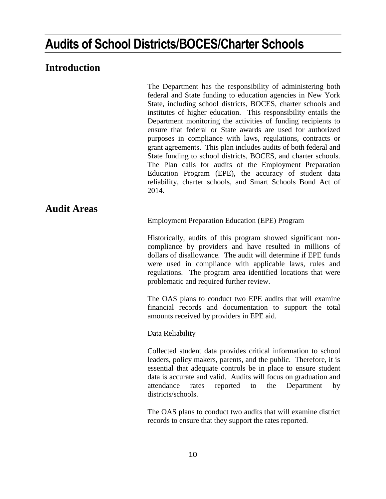# **Audits of School Districts/BOCES/Charter Schools**

### **Introduction**

The Department has the responsibility of administering both federal and State funding to education agencies in New York State, including school districts, BOCES, charter schools and institutes of higher education. This responsibility entails the Department monitoring the activities of funding recipients to ensure that federal or State awards are used for authorized purposes in compliance with laws, regulations, contracts or grant agreements. This plan includes audits of both federal and State funding to school districts, BOCES, and charter schools. The Plan calls for audits of the Employment Preparation Education Program (EPE), the accuracy of student data reliability, charter schools, and Smart Schools Bond Act of 2014.

### **Audit Areas**

### Employment Preparation Education (EPE) Program

Historically, audits of this program showed significant noncompliance by providers and have resulted in millions of dollars of disallowance. The audit will determine if EPE funds were used in compliance with applicable laws, rules and regulations. The program area identified locations that were problematic and required further review.

The OAS plans to conduct two EPE audits that will examine financial records and documentation to support the total amounts received by providers in EPE aid.

#### Data Reliability

Collected student data provides critical information to school leaders, policy makers, parents, and the public. Therefore, it is essential that adequate controls be in place to ensure student data is accurate and valid. Audits will focus on graduation and attendance rates reported to the Department by districts/schools.

The OAS plans to conduct two audits that will examine district records to ensure that they support the rates reported.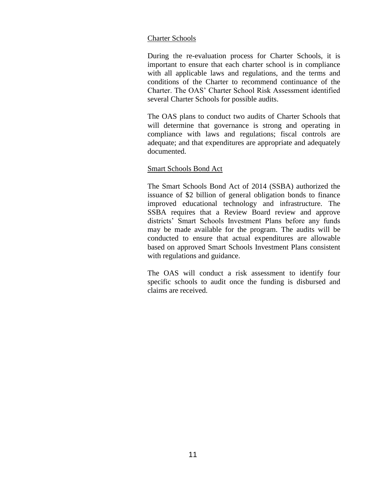### Charter Schools

During the re-evaluation process for Charter Schools, it is important to ensure that each charter school is in compliance with all applicable laws and regulations, and the terms and conditions of the Charter to recommend continuance of the Charter. The OAS' Charter School Risk Assessment identified several Charter Schools for possible audits.

The OAS plans to conduct two audits of Charter Schools that will determine that governance is strong and operating in compliance with laws and regulations; fiscal controls are adequate; and that expenditures are appropriate and adequately documented.

#### Smart Schools Bond Act

The Smart Schools Bond Act of 2014 (SSBA) authorized the issuance of \$2 billion of general obligation bonds to finance improved educational technology and infrastructure. The SSBA requires that a Review Board review and approve districts' Smart Schools Investment Plans before any funds may be made available for the program. The audits will be conducted to ensure that actual expenditures are allowable based on approved Smart Schools Investment Plans consistent with regulations and guidance.

The OAS will conduct a risk assessment to identify four specific schools to audit once the funding is disbursed and claims are received.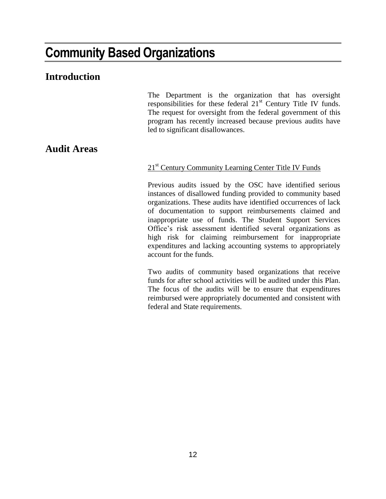# **Community Based Organizations**

### **Introduction**

The Department is the organization that has oversight responsibilities for these federal 21<sup>st</sup> Century Title IV funds. The request for oversight from the federal government of this program has recently increased because previous audits have led to significant disallowances.

### **Audit Areas**

### 21<sup>st</sup> Century Community Learning Center Title IV Funds

Previous audits issued by the OSC have identified serious instances of disallowed funding provided to community based organizations. These audits have identified occurrences of lack of documentation to support reimbursements claimed and inappropriate use of funds. The Student Support Services Office's risk assessment identified several organizations as high risk for claiming reimbursement for inappropriate expenditures and lacking accounting systems to appropriately account for the funds.

Two audits of community based organizations that receive funds for after school activities will be audited under this Plan. The focus of the audits will be to ensure that expenditures reimbursed were appropriately documented and consistent with federal and State requirements.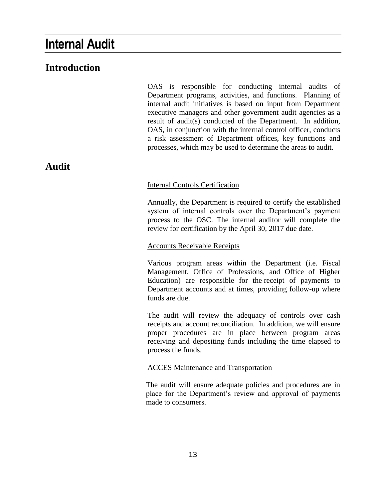# **Internal Audit**

### **Introduction**

OAS is responsible for conducting internal audits of Department programs, activities, and functions. Planning of internal audit initiatives is based on input from Department executive managers and other government audit agencies as a result of audit(s) conducted of the Department. In addition, OAS, in conjunction with the internal control officer, conducts a risk assessment of Department offices, key functions and processes, which may be used to determine the areas to audit.

### **Audit**

#### Internal Controls Certification

Annually, the Department is required to certify the established system of internal controls over the Department's payment process to the OSC. The internal auditor will complete the review for certification by the April 30, 2017 due date.

#### Accounts Receivable Receipts

Various program areas within the Department (i.e. Fiscal Management, Office of Professions, and Office of Higher Education) are responsible for the receipt of payments to Department accounts and at times, providing follow-up where funds are due.

The audit will review the adequacy of controls over cash receipts and account reconciliation. In addition, we will ensure proper procedures are in place between program areas receiving and depositing funds including the time elapsed to process the funds.

#### ACCES Maintenance and Transportation

The audit will ensure adequate policies and procedures are in place for the Department's review and approval of payments made to consumers.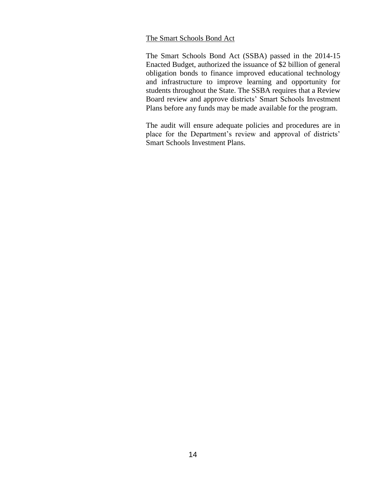#### The Smart Schools Bond Act

The Smart Schools Bond Act (SSBA) passed in the 2014-15 Enacted Budget, authorized the issuance of \$2 billion of general obligation bonds to finance improved educational technology and infrastructure to improve learning and opportunity for students throughout the State. The SSBA requires that a Review Board review and approve districts' Smart Schools Investment Plans before any funds may be made available for the program.

The audit will ensure adequate policies and procedures are in place for the Department's review and approval of districts' Smart Schools Investment Plans.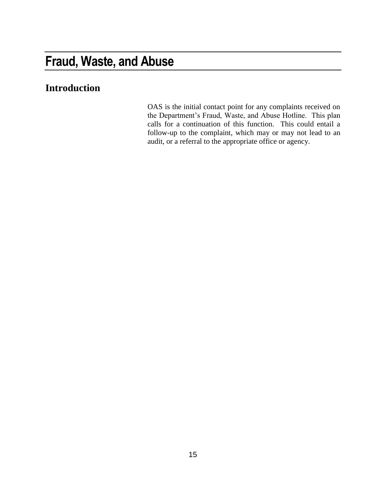# **Fraud, Waste, and Abuse**

# **Introduction**

OAS is the initial contact point for any complaints received on the Department's Fraud, Waste, and Abuse Hotline. This plan calls for a continuation of this function. This could entail a follow-up to the complaint, which may or may not lead to an audit, or a referral to the appropriate office or agency.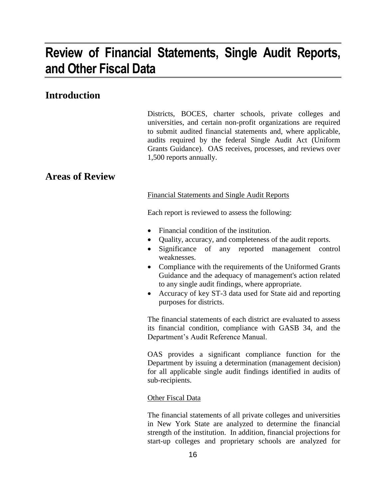# **Review of Financial Statements, Single Audit Reports, and Other Fiscal Data**

### **Introduction**

Districts, BOCES, charter schools, private colleges and universities, and certain non-profit organizations are required to submit audited financial statements and, where applicable, audits required by the federal Single Audit Act (Uniform Grants Guidance). OAS receives, processes, and reviews over 1,500 reports annually.

### **Areas of Review**

#### Financial Statements and Single Audit Reports

Each report is reviewed to assess the following:

- Financial condition of the institution.
- Quality, accuracy, and completeness of the audit reports.
- Significance of any reported management control weaknesses.
- Compliance with the requirements of the Uniformed Grants Guidance and the adequacy of management's action related to any single audit findings, where appropriate.
- Accuracy of key ST-3 data used for State aid and reporting purposes for districts.

The financial statements of each district are evaluated to assess its financial condition, compliance with GASB 34, and the Department's Audit Reference Manual.

OAS provides a significant compliance function for the Department by issuing a determination (management decision) for all applicable single audit findings identified in audits of sub-recipients.

#### **Other Fiscal Data**

The financial statements of all private colleges and universities in New York State are analyzed to determine the financial strength of the institution. In addition, financial projections for start-up colleges and proprietary schools are analyzed for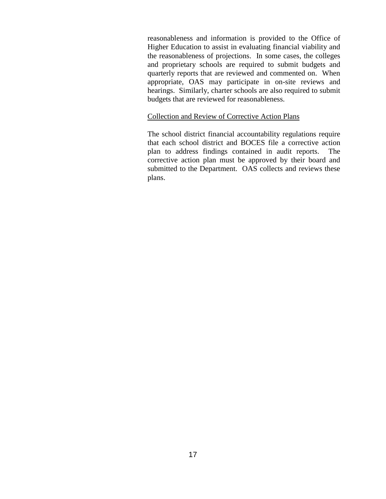reasonableness and information is provided to the Office of Higher Education to assist in evaluating financial viability and the reasonableness of projections. In some cases, the colleges and proprietary schools are required to submit budgets and quarterly reports that are reviewed and commented on. When appropriate, OAS may participate in on-site reviews and hearings. Similarly, charter schools are also required to submit budgets that are reviewed for reasonableness.

#### Collection and Review of Corrective Action Plans

The school district financial accountability regulations require that each school district and BOCES file a corrective action plan to address findings contained in audit reports. The corrective action plan must be approved by their board and submitted to the Department. OAS collects and reviews these plans.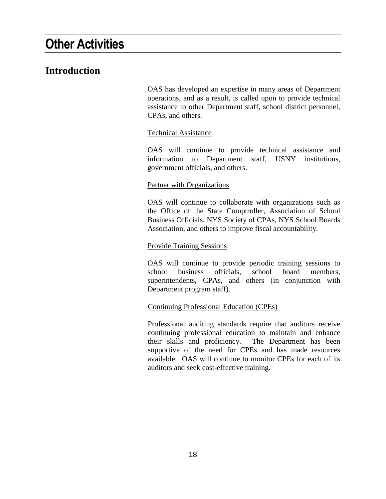# **Other Activities**

### **Introduction**

OAS has developed an expertise in many areas of Department operations, and as a result, is called upon to provide technical assistance to other Department staff, school district personnel, CPAs, and others.

### Technical Assistance

OAS will continue to provide technical assistance and information to Department staff, USNY institutions, government officials, and others.

### Partner with Organizations

OAS will continue to collaborate with organizations such as the Office of the State Comptroller, Association of School Business Officials, NYS Society of CPAs, NYS School Boards Association, and others to improve fiscal accountability.

### Provide Training Sessions

OAS will continue to provide periodic training sessions to school business officials, school board members, superintendents, CPAs, and others (in conjunction with Department program staff).

### Continuing Professional Education (CPEs)

Professional auditing standards require that auditors receive continuing professional education to maintain and enhance their skills and proficiency. The Department has been supportive of the need for CPEs and has made resources available. OAS will continue to monitor CPEs for each of its auditors and seek cost-effective training.